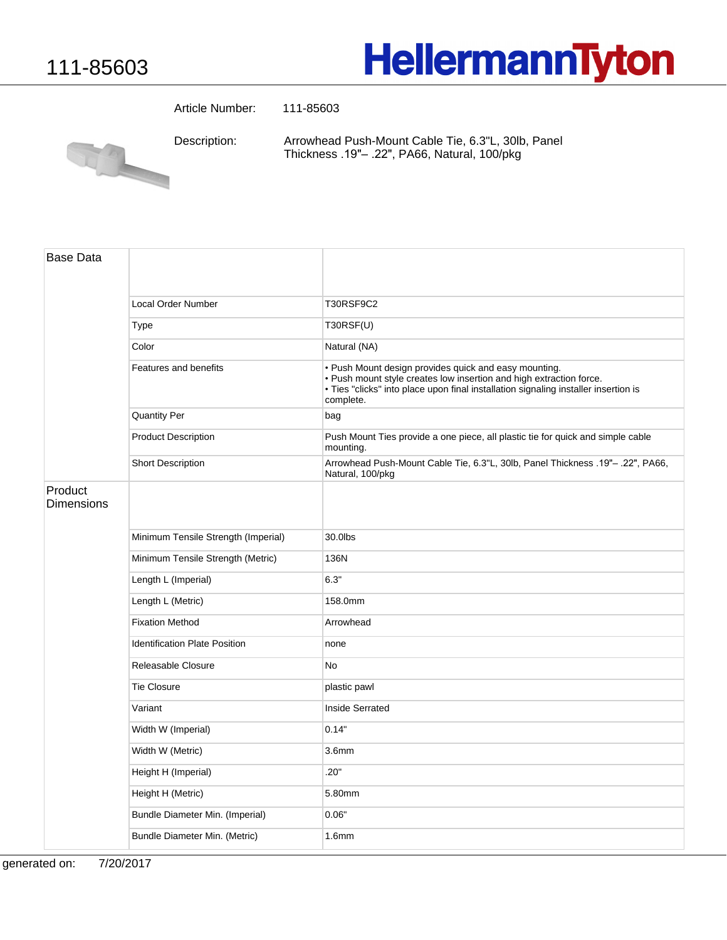## **HellermannTyton**

Article Number: 111-85603

Arrowhead Push-Mount Cable Tie, 6.3"L, 30lb, Panel Description:



Thickness .19"- .22", PA66, Natural, 100/pkg

| <b>Base Data</b>             |                                      |                                                                                                                                                                                                                                  |
|------------------------------|--------------------------------------|----------------------------------------------------------------------------------------------------------------------------------------------------------------------------------------------------------------------------------|
|                              |                                      |                                                                                                                                                                                                                                  |
|                              | <b>Local Order Number</b>            | <b>T30RSF9C2</b>                                                                                                                                                                                                                 |
|                              | Type                                 | T30RSF(U)                                                                                                                                                                                                                        |
|                              | Color                                | Natural (NA)                                                                                                                                                                                                                     |
|                              | Features and benefits                | · Push Mount design provides quick and easy mounting.<br>. Push mount style creates low insertion and high extraction force.<br>• Ties "clicks" into place upon final installation signaling installer insertion is<br>complete. |
|                              | <b>Quantity Per</b>                  | bag                                                                                                                                                                                                                              |
|                              | <b>Product Description</b>           | Push Mount Ties provide a one piece, all plastic tie for quick and simple cable<br>mounting.                                                                                                                                     |
|                              | <b>Short Description</b>             | Arrowhead Push-Mount Cable Tie, 6.3"L, 30lb, Panel Thickness .19"- .22", PA66,<br>Natural, 100/pkg                                                                                                                               |
| Product<br><b>Dimensions</b> |                                      |                                                                                                                                                                                                                                  |
|                              | Minimum Tensile Strength (Imperial)  | 30.0lbs                                                                                                                                                                                                                          |
|                              | Minimum Tensile Strength (Metric)    | 136N                                                                                                                                                                                                                             |
|                              | Length L (Imperial)                  | 6.3"                                                                                                                                                                                                                             |
|                              | Length L (Metric)                    | 158.0mm                                                                                                                                                                                                                          |
|                              | <b>Fixation Method</b>               | Arrowhead                                                                                                                                                                                                                        |
|                              | <b>Identification Plate Position</b> | none                                                                                                                                                                                                                             |
|                              | Releasable Closure                   | No                                                                                                                                                                                                                               |
|                              | <b>Tie Closure</b>                   | plastic pawl                                                                                                                                                                                                                     |
|                              | Variant                              | <b>Inside Serrated</b>                                                                                                                                                                                                           |
|                              | Width W (Imperial)                   | 0.14"                                                                                                                                                                                                                            |
|                              | Width W (Metric)                     | 3.6 <sub>mm</sub>                                                                                                                                                                                                                |
|                              | Height H (Imperial)                  | .20"                                                                                                                                                                                                                             |
|                              | Height H (Metric)                    | 5.80mm                                                                                                                                                                                                                           |
|                              | Bundle Diameter Min. (Imperial)      | 0.06"                                                                                                                                                                                                                            |
|                              | Bundle Diameter Min. (Metric)        | 1.6mm                                                                                                                                                                                                                            |